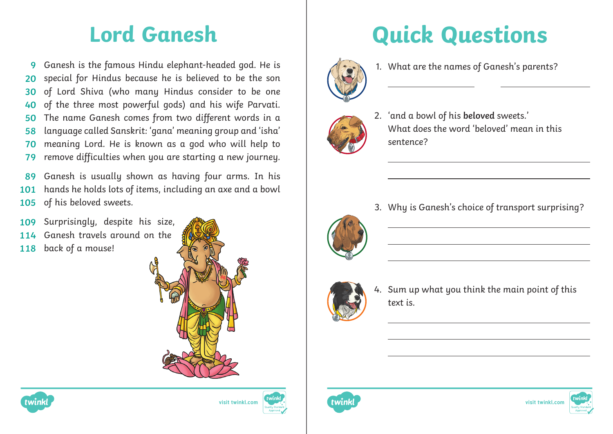Ganesh is the famous Hindu elephant-headed god. He is special for Hindus because he is believed to be the son of Lord Shiva (who many Hindus consider to be one of the three most powerful gods) and his wife Parvati. The name Ganesh comes from two different words in a language called Sanskrit: 'gana' meaning group and 'isha' meaning Lord. He is known as a god who will help to remove difficulties when you are starting a new journey. **9 20 30 40 50 58 70 79**

Ganesh is usually shown as having four arms. In his hands he holds lots of items, including an axe and a bowl of his beloved sweets. **89 101 105**

- Surprisingly, despite his size, **109**
- Ganesh travels around on the **114**
- back of a mouse! **118**







## **Lord Ganesh Quick Questions**



 $\overline{a}$ 

1. What are the names of Ganesh's parents?



2. 'and a bowl of his **beloved** sweets.' What does the word 'heloved' mean in this sentence?



3. Why is Ganesh's choice of transport surprising?

- text is.
	- 4. Sum up what you think the main point of this